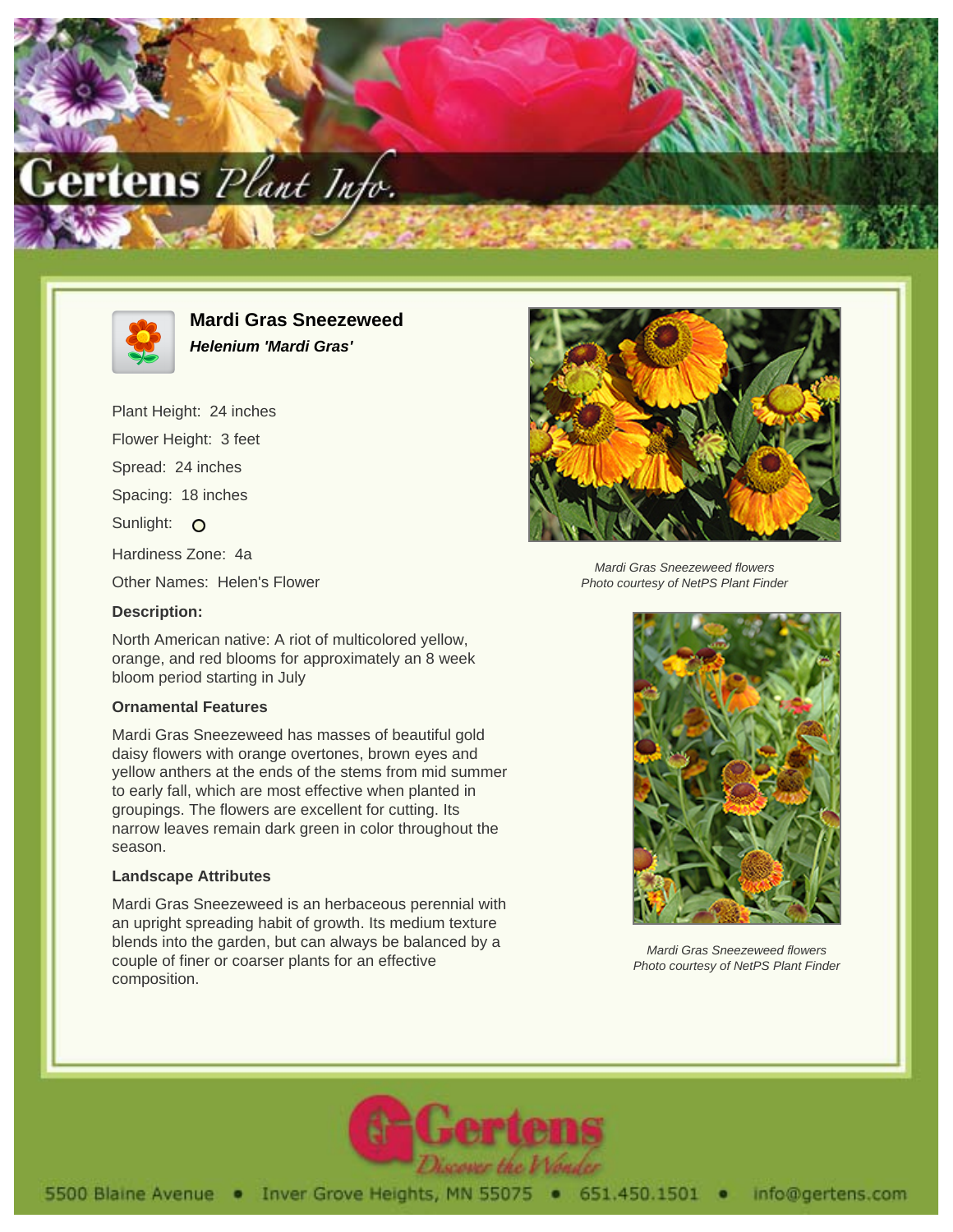



**Mardi Gras Sneezeweed Helenium 'Mardi Gras'**

Plant Height: 24 inches Flower Height: 3 feet Spread: 24 inches Spacing: 18 inches Sunlight: O Hardiness Zone: 4a Other Names: Helen's Flower **Description:**

North American native: A riot of multicolored yellow, orange, and red blooms for approximately an 8 week bloom period starting in July

## **Ornamental Features**

Mardi Gras Sneezeweed has masses of beautiful gold daisy flowers with orange overtones, brown eyes and yellow anthers at the ends of the stems from mid summer to early fall, which are most effective when planted in groupings. The flowers are excellent for cutting. Its narrow leaves remain dark green in color throughout the season.

## **Landscape Attributes**

Mardi Gras Sneezeweed is an herbaceous perennial with an upright spreading habit of growth. Its medium texture blends into the garden, but can always be balanced by a couple of finer or coarser plants for an effective composition.



Mardi Gras Sneezeweed flowers Photo courtesy of NetPS Plant Finder



Mardi Gras Sneezeweed flowers Photo courtesy of NetPS Plant Finder